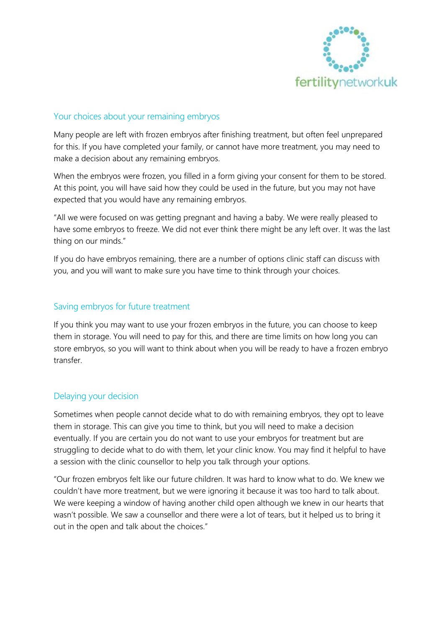

## Your choices about your remaining embryos

Many people are left with frozen embryos after finishing treatment, but often feel unprepared for this. If you have completed your family, or cannot have more treatment, you may need to make a decision about any remaining embryos.

When the embryos were frozen, you filled in a form giving your consent for them to be stored. At this point, you will have said how they could be used in the future, but you may not have expected that you would have any remaining embryos.

"All we were focused on was getting pregnant and having a baby. We were really pleased to have some embryos to freeze. We did not ever think there might be any left over. It was the last thing on our minds."

If you do have embryos remaining, there are a number of options clinic staff can discuss with you, and you will want to make sure you have time to think through your choices.

## Saving embryos for future treatment

If you think you may want to use your frozen embryos in the future, you can choose to keep them in storage. You will need to pay for this, and there are time limits on how long you can store embryos, so you will want to think about when you will be ready to have a frozen embryo transfer.

### Delaying your decision

Sometimes when people cannot decide what to do with remaining embryos, they opt to leave them in storage. This can give you time to think, but you will need to make a decision eventually. If you are certain you do not want to use your embryos for treatment but are struggling to decide what to do with them, let your clinic know. You may find it helpful to have a session with the clinic counsellor to help you talk through your options.

"Our frozen embryos felt like our future children. It was hard to know what to do. We knew we couldn't have more treatment, but we were ignoring it because it was too hard to talk about. We were keeping a window of having another child open although we knew in our hearts that wasn't possible. We saw a counsellor and there were a lot of tears, but it helped us to bring it out in the open and talk about the choices."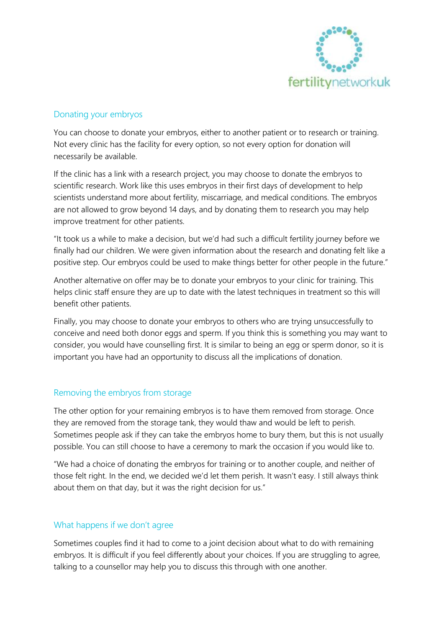

# Donating your embryos

You can choose to donate your embryos, either to another patient or to research or training. Not every clinic has the facility for every option, so not every option for donation will necessarily be available.

If the clinic has a link with a research project, you may choose to donate the embryos to scientific research. Work like this uses embryos in their first days of development to help scientists understand more about fertility, miscarriage, and medical conditions. The embryos are not allowed to grow beyond 14 days, and by donating them to research you may help improve treatment for other patients.

"It took us a while to make a decision, but we'd had such a difficult fertility journey before we finally had our children. We were given information about the research and donating felt like a positive step. Our embryos could be used to make things better for other people in the future."

Another alternative on offer may be to donate your embryos to your clinic for training. This helps clinic staff ensure they are up to date with the latest techniques in treatment so this will benefit other patients.

Finally, you may choose to donate your embryos to others who are trying unsuccessfully to conceive and need both donor eggs and sperm. If you think this is something you may want to consider, you would have counselling first. It is similar to being an egg or sperm donor, so it is important you have had an opportunity to discuss all the implications of donation.

## Removing the embryos from storage

The other option for your remaining embryos is to have them removed from storage. Once they are removed from the storage tank, they would thaw and would be left to perish. Sometimes people ask if they can take the embryos home to bury them, but this is not usually possible. You can still choose to have a ceremony to mark the occasion if you would like to.

"We had a choice of donating the embryos for training or to another couple, and neither of those felt right. In the end, we decided we'd let them perish. It wasn't easy. I still always think about them on that day, but it was the right decision for us."

### What happens if we don't agree

Sometimes couples find it had to come to a joint decision about what to do with remaining embryos. It is difficult if you feel differently about your choices. If you are struggling to agree, talking to a counsellor may help you to discuss this through with one another.